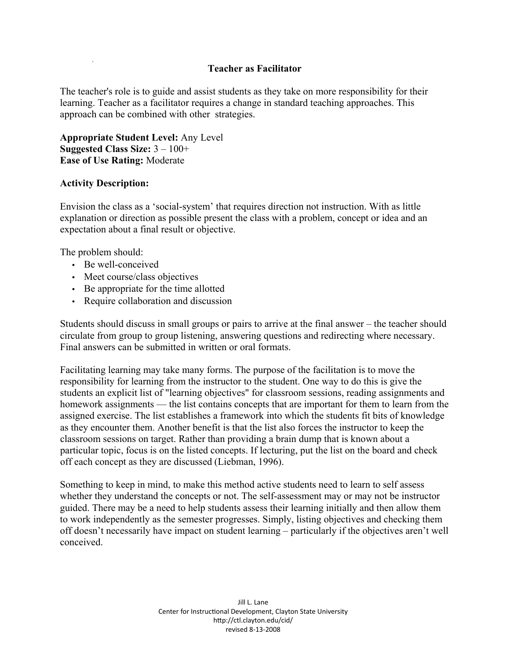## **Teacher as Facilitator**

The teacher's role is to guide and assist students as they take on more responsibility for their learning. Teacher as a facilitator requires a change in standard teaching approaches. This approach can be combined with other strategies.

**Appropriate Student Level:** Any Level **Suggested Class Size:** 3 – 100+ **Ease of Use Rating:** Moderate

## **Activity Description:**

Envision the class as a 'social-system' that requires direction not instruction. With as little explanation or direction as possible present the class with a problem, concept or idea and an expectation about a final result or objective.

The problem should:

- Be well-conceived
- Meet course/class objectives
- Be appropriate for the time allotted
- Require collaboration and discussion

Students should discuss in small groups or pairs to arrive at the final answer – the teacher should circulate from group to group listening, answering questions and redirecting where necessary. Final answers can be submitted in written or oral formats.

Facilitating learning may take many forms. The purpose of the facilitation is to move the responsibility for learning from the instructor to the student. One way to do this is give the students an explicit list of "learning objectives" for classroom sessions, reading assignments and homework assignments — the list contains concepts that are important for them to learn from the assigned exercise. The list establishes a framework into which the students fit bits of knowledge as they encounter them. Another benefit is that the list also forces the instructor to keep the classroom sessions on target. Rather than providing a brain dump that is known about a particular topic, focus is on the listed concepts. If lecturing, put the list on the board and check off each concept as they are discussed (Liebman, 1996).

Something to keep in mind, to make this method active students need to learn to self assess whether they understand the concepts or not. The self-assessment may or may not be instructor guided. There may be a need to help students assess their learning initially and then allow them to work independently as the semester progresses. Simply, listing objectives and checking them off doesn't necessarily have impact on student learning – particularly if the objectives aren't well conceived.